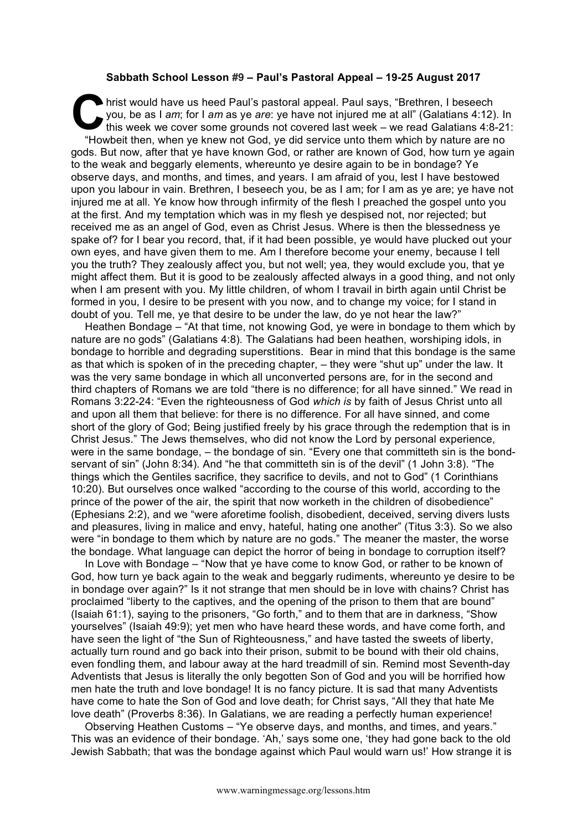## **Sabbath School Lesson #9 – Paul's Pastoral Appeal – 19-25 August 2017**

hrist would have us heed Paul's pastoral appeal. Paul says, "Brethren, I beseech you, be as I *am*; for I *am* as ye *are*: ye have not injured me at all" (Galatians 4:12). In this week we cover some grounds not covered last week – we read Galatians 4:8-21: "Howbeit then, when ye knew not God, ye did service unto them which by nature are no gods. But now, after that ye have known God, or rather are known of God, how turn ye again to the weak and beggarly elements, whereunto ye desire again to be in bondage? Ye observe days, and months, and times, and years. I am afraid of you, lest I have bestowed upon you labour in vain. Brethren, I beseech you, be as I am; for I am as ye are; ye have not injured me at all. Ye know how through infirmity of the flesh I preached the gospel unto you at the first. And my temptation which was in my flesh ye despised not, nor rejected; but received me as an angel of God, even as Christ Jesus. Where is then the blessedness ye spake of? for I bear you record, that, if it had been possible, ye would have plucked out your own eyes, and have given them to me. Am I therefore become your enemy, because I tell you the truth? They zealously affect you, but not well; yea, they would exclude you, that ye might affect them. But it is good to be zealously affected always in a good thing, and not only when I am present with you. My little children, of whom I travail in birth again until Christ be formed in you, I desire to be present with you now, and to change my voice; for I stand in doubt of you. Tell me, ye that desire to be under the law, do ye not hear the law?" **C**<br>you<br>this

Heathen Bondage – "At that time, not knowing God, ye were in bondage to them which by nature are no gods" (Galatians 4:8). The Galatians had been heathen, worshiping idols, in bondage to horrible and degrading superstitions. Bear in mind that this bondage is the same as that which is spoken of in the preceding chapter, – they were "shut up" under the law. It was the very same bondage in which all unconverted persons are, for in the second and third chapters of Romans we are told "there is no difference; for all have sinned." We read in Romans 3:22-24: "Even the righteousness of God *which is* by faith of Jesus Christ unto all and upon all them that believe: for there is no difference. For all have sinned, and come short of the glory of God; Being justified freely by his grace through the redemption that is in Christ Jesus." The Jews themselves, who did not know the Lord by personal experience, were in the same bondage, – the bondage of sin. "Every one that committeth sin is the bondservant of sin" (John 8:34). And "he that committeth sin is of the devil" (1 John 3:8). "The things which the Gentiles sacrifice, they sacrifice to devils, and not to God" (1 Corinthians 10:20). But ourselves once walked "according to the course of this world, according to the prince of the power of the air, the spirit that now worketh in the children of disobedience" (Ephesians 2:2), and we "were aforetime foolish, disobedient, deceived, serving divers lusts and pleasures, living in malice and envy, hateful, hating one another" (Titus 3:3). So we also were "in bondage to them which by nature are no gods." The meaner the master, the worse the bondage. What language can depict the horror of being in bondage to corruption itself?

In Love with Bondage – "Now that ye have come to know God, or rather to be known of God, how turn ye back again to the weak and beggarly rudiments, whereunto ye desire to be in bondage over again?" Is it not strange that men should be in love with chains? Christ has proclaimed "liberty to the captives, and the opening of the prison to them that are bound" (Isaiah 61:1), saying to the prisoners, "Go forth," and to them that are in darkness, "Show yourselves" (Isaiah 49:9); yet men who have heard these words, and have come forth, and have seen the light of "the Sun of Righteousness," and have tasted the sweets of liberty, actually turn round and go back into their prison, submit to be bound with their old chains, even fondling them, and labour away at the hard treadmill of sin. Remind most Seventh-day Adventists that Jesus is literally the only begotten Son of God and you will be horrified how men hate the truth and love bondage! It is no fancy picture. It is sad that many Adventists have come to hate the Son of God and love death; for Christ says, "All they that hate Me love death" (Proverbs 8:36). In Galatians, we are reading a perfectly human experience!

Observing Heathen Customs – "Ye observe days, and months, and times, and years." This was an evidence of their bondage. 'Ah,' says some one, 'they had gone back to the old Jewish Sabbath; that was the bondage against which Paul would warn us!' How strange it is